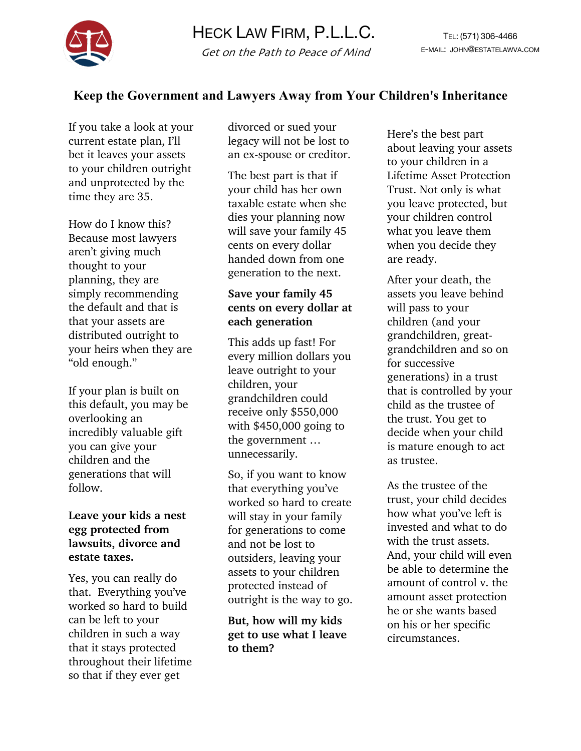

# **Keep the Government and Lawyers Away from Your Children's Inheritance**

If you take a look at your current estate plan, I'll bet it leaves your assets to your children outright and unprotected by the time they are 35.

How do I know this? Because most lawyers aren't giving much thought to your planning, they are simply recommending the default and that is that your assets are distributed outright to your heirs when they are "old enough."

If your plan is built on this default, you may be overlooking an incredibly valuable gift you can give your children and the generations that will follow.

#### **Leave your kids a nest egg protected from lawsuits, divorce and estate taxes.**

Yes, you can really do that. Everything you've worked so hard to build can be left to your children in such a way that it stays protected throughout their lifetime so that if they ever get

divorced or sued your legacy will not be lost to an ex-spouse or creditor.

The best part is that if your child has her own taxable estate when she dies your planning now will save your family 45 cents on every dollar handed down from one generation to the next.

## **Save your family 45 cents on every dollar at each generation**

This adds up fast! For every million dollars you leave outright to your children, your grandchildren could receive only \$550,000 with \$450,000 going to the government … unnecessarily.

So, if you want to know that everything you've worked so hard to create will stay in your family for generations to come and not be lost to outsiders, leaving your assets to your children protected instead of outright is the way to go.

**But, how will my kids get to use what I leave to them?**

Here's the best part about leaving your assets to your children in a Lifetime Asset Protection Trust. Not only is what you leave protected, but your children control what you leave them when you decide they are ready.

After your death, the assets you leave behind will pass to your children (and your grandchildren, greatgrandchildren and so on for successive generations) in a trust that is controlled by your child as the trustee of the trust. You get to decide when your child is mature enough to act as trustee.

As the trustee of the trust, your child decides how what you've left is invested and what to do with the trust assets. And, your child will even be able to determine the amount of control v. the amount asset protection he or she wants based on his or her specific circumstances.